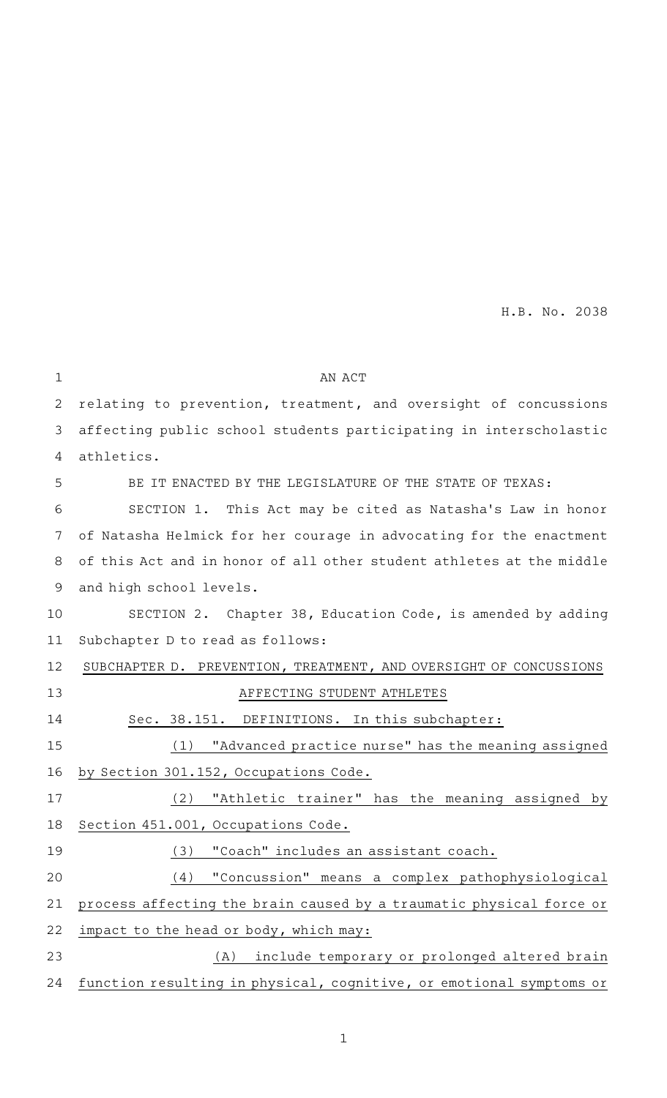| $\mathbf 1$ | AN ACT                                                               |
|-------------|----------------------------------------------------------------------|
| 2           | relating to prevention, treatment, and oversight of concussions      |
| 3           | affecting public school students participating in interscholastic    |
| 4           | athletics.                                                           |
| 5           | BE IT ENACTED BY THE LEGISLATURE OF THE STATE OF TEXAS:              |
| 6           | SECTION 1. This Act may be cited as Natasha's Law in honor           |
| 7           | of Natasha Helmick for her courage in advocating for the enactment   |
| 8           | of this Act and in honor of all other student athletes at the middle |
| 9           | and high school levels.                                              |
| 10          | SECTION 2. Chapter 38, Education Code, is amended by adding          |
| 11          | Subchapter D to read as follows:                                     |
| 12          | SUBCHAPTER D. PREVENTION, TREATMENT, AND OVERSIGHT OF CONCUSSIONS    |
| 13          | AFFECTING STUDENT ATHLETES                                           |
| 14          | Sec. 38.151. DEFINITIONS. In this subchapter:                        |
| 15          | "Advanced practice nurse" has the meaning assigned<br>(1)            |
| 16          | by Section 301.152, Occupations Code.                                |
| 17          | "Athletic trainer" has the meaning assigned by<br>(2)                |
| 18          | Section 451.001, Occupations Code.                                   |
| 19          | (3) "Coach" includes an assistant coach.                             |
| 20          | "Concussion" means a complex pathophysiological<br>(4)               |
| 21          | process affecting the brain caused by a traumatic physical force or  |
| 22          | impact to the head or body, which may:                               |
| 23          | include temporary or prolonged altered brain<br>(A)                  |
| 24          | function resulting in physical, cognitive, or emotional symptoms or  |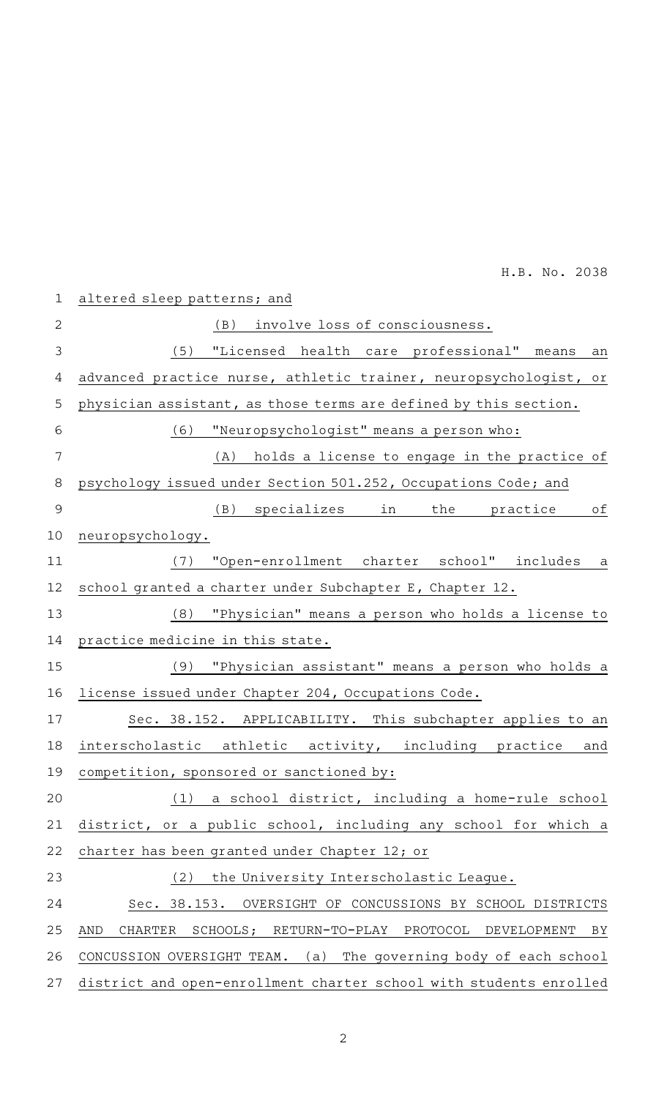| $\mathbf 1$ | altered sleep patterns; and                                             |
|-------------|-------------------------------------------------------------------------|
| 2           | involve loss of consciousness.<br>(B)                                   |
| 3           | "Licensed health care professional"<br>(5)<br>means<br>an               |
| 4           | advanced practice nurse, athletic trainer, neuropsychologist, or        |
| 5           | physician assistant, as those terms are defined by this section.        |
| 6           | "Neuropsychologist" means a person who:<br>(6)                          |
| 7           | (A) holds a license to engage in the practice of                        |
| 8           | psychology issued under Section 501.252, Occupations Code; and          |
| 9           | (B) specializes in<br>оf<br>the practice                                |
| 10          | neuropsychology.                                                        |
| 11          | "Open-enrollment charter school" includes a<br>(7)                      |
| 12          | school granted a charter under Subchapter E, Chapter 12.                |
| 13          | "Physician" means a person who holds a license to<br>(8)                |
| 14          | practice medicine in this state.                                        |
| 15          | "Physician assistant" means a person who holds a<br>(9)                 |
| 16          | license issued under Chapter 204, Occupations Code.                     |
| 17          | Sec. 38.152. APPLICABILITY. This subchapter applies to an               |
| 18          | interscholastic athletic activity, including practice<br>and            |
|             | 19 competition, sponsored or sanctioned by:                             |
| 20          | a school district, including a home-rule school<br>(1)                  |
| 21          | district, or a public school, including any school for which a          |
| 22          | charter has been granted under Chapter 12; or                           |
| 23          | (2)<br>the University Interscholastic League.                           |
| 24          | Sec. 38.153. OVERSIGHT OF CONCUSSIONS BY SCHOOL DISTRICTS               |
| 25          | SCHOOLS; RETURN-TO-PLAY PROTOCOL<br>AND<br>CHARTER<br>DEVELOPMENT<br>ΒY |
| 26          | CONCUSSION OVERSIGHT TEAM. (a) The governing body of each school        |
| 27          | district and open-enrollment charter school with students enrolled      |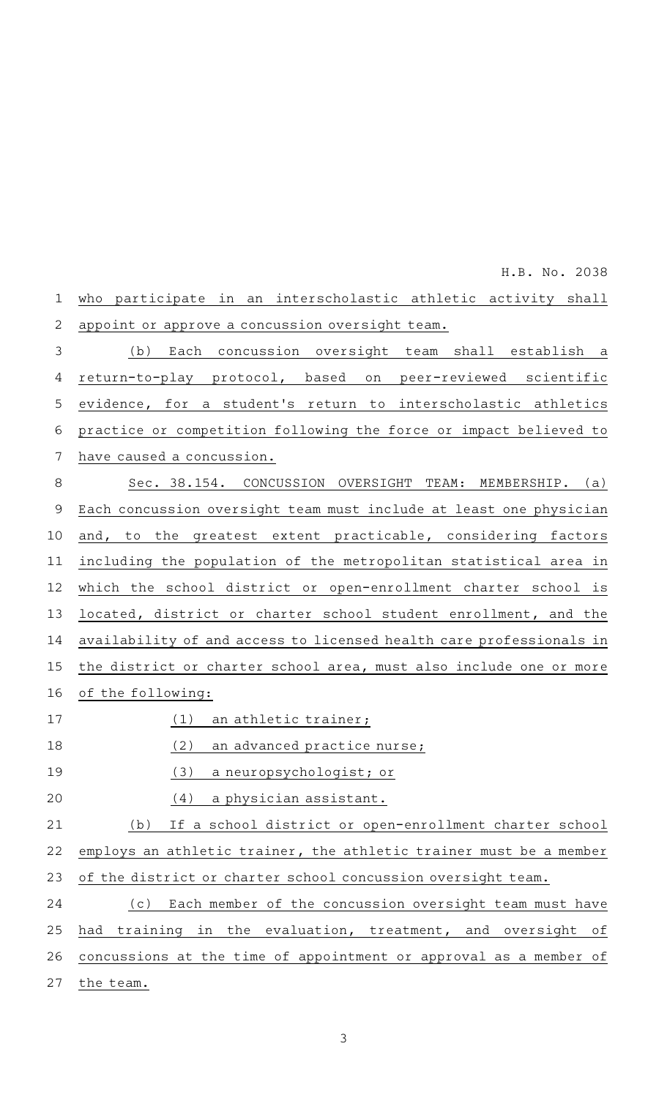H.B.ANo.A2038

|              | H.B. NO. ZU38                                                       |
|--------------|---------------------------------------------------------------------|
| $\mathbf 1$  | who participate in an interscholastic athletic activity shall       |
| $\mathbf{2}$ | appoint or approve a concussion oversight team.                     |
| $\mathsf 3$  | Each concussion oversight team shall establish a<br>(b)             |
| 4            | return-to-play protocol, based on peer-reviewed scientific          |
| 5            | evidence, for a student's return to interscholastic athletics       |
| 6            | practice or competition following the force or impact believed to   |
| 7            | have caused a concussion.                                           |
| 8            | Sec. 38.154. CONCUSSION OVERSIGHT TEAM: MEMBERSHIP. (a)             |
| $\mathsf 9$  | Each concussion oversight team must include at least one physician  |
| 10           | the greatest extent practicable, considering factors<br>and, to     |
| 11           | including the population of the metropolitan statistical area in    |
| 12           | which the school district or open-enrollment charter school is      |
| 13           | located, district or charter school student enrollment, and the     |
| 14           | availability of and access to licensed health care professionals in |
| 15           | the district or charter school area, must also include one or more  |
| 16           | of the following:                                                   |
| 17           | (1)<br>an athletic trainer;                                         |
| 18           | (2)<br>an advanced practice nurse;                                  |
| 19           | (3)<br>a neuropsychologist; or                                      |
| 20           | (4)<br>a physician assistant.                                       |
| 21           | If a school district or open-enrollment charter school<br>(b)       |
| 22           | employs an athletic trainer, the athletic trainer must be a member  |
| 23           | of the district or charter school concussion oversight team.        |
| 24           | Each member of the concussion oversight team must have<br>(c)       |
| 25           | had training in the evaluation, treatment, and oversight<br>оf      |
| 26           | concussions at the time of appointment or approval as a member of   |
| 27           | the team.                                                           |
|              |                                                                     |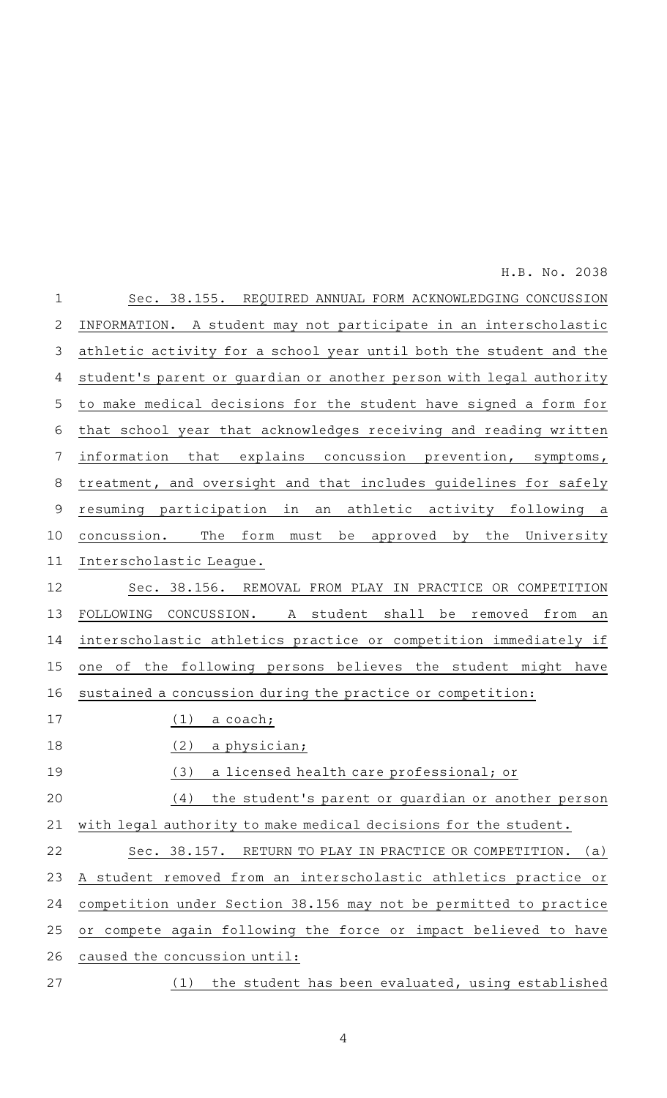Sec. 38.155. REQUIRED ANNUAL FORM ACKNOWLEDGING CONCUSSION INFORMATION. A student may not participate in an interscholastic athletic activity for a school year until both the student and the student's parent or quardian or another person with legal authority to make medical decisions for the student have signed a form for that school year that acknowledges receiving and reading written information that explains concussion prevention, symptoms, treatment, and oversight and that includes guidelines for safely resuming participation in an athletic activity following a concussion. The form must be approved by the University Interscholastic League. Sec. 38.156. REMOVAL FROM PLAY IN PRACTICE OR COMPETITION FOLLOWING CONCUSSION. A student shall be removed from an interscholastic athletics practice or competition immediately if one of the following persons believes the student might have sustained a concussion during the practice or competition:  $(1)$  a coach;  $(2)$  a physician; (3) a licensed health care professional; or  $(4)$  the student's parent or guardian or another person with legal authority to make medical decisions for the student. Sec. 38.157. RETURN TO PLAY IN PRACTICE OR COMPETITION. (a) A student removed from an interscholastic athletics practice or competition under Section 38.156 may not be permitted to practice or compete again following the force or impact believed to have caused the concussion until: (1) the student has been evaluated, using established 1 2 3 4 5 6 7 8 9 10 11 12 13 14 15 16 17 18 19 20 21 22 23 24 25 26 27

H.B. No. 2038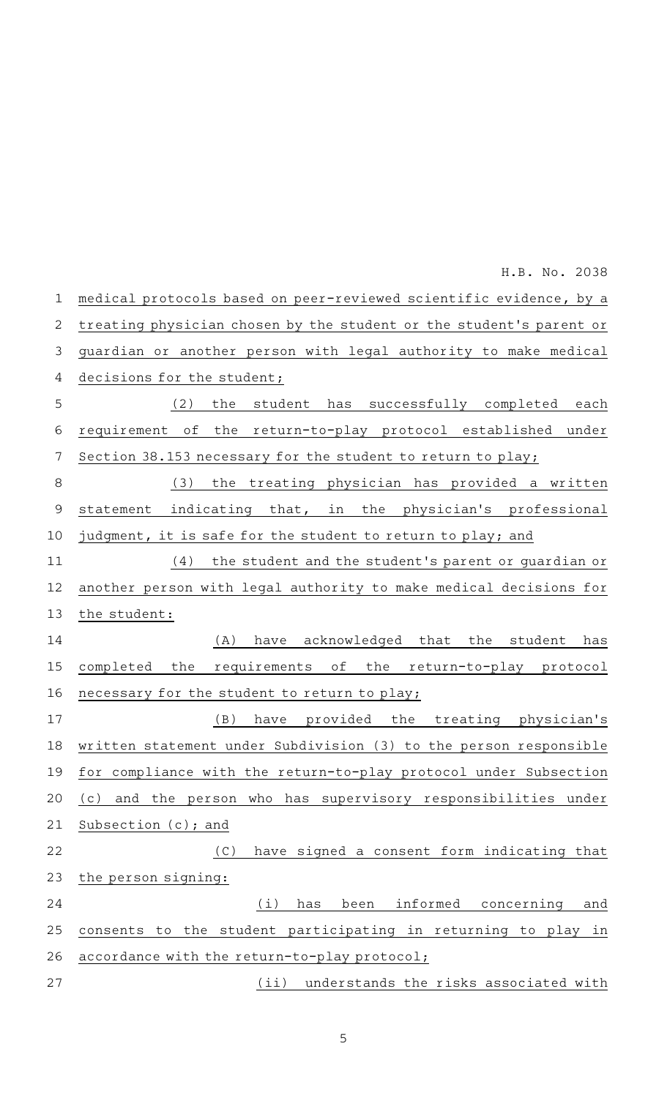medical protocols based on peer-reviewed scientific evidence, by a treating physician chosen by the student or the student 's parent or guardian or another person with legal authority to make medical decisions for the student; (2) the student has successfully completed each requirement of the return-to-play protocol established under Section 38.153 necessary for the student to return to play; (3) the treating physician has provided a written statement indicating that, in the physician's professional judgment, it is safe for the student to return to play; and  $(4)$  the student and the student's parent or guardian or another person with legal authority to make medical decisions for the student: (A) have acknowledged that the student has completed the requirements of the return-to-play protocol necessary for the student to return to play; (B) have provided the treating physician's written statement under Subdivision (3) to the person responsible for compliance with the return-to-play protocol under Subsection (c) and the person who has supervisory responsibilities under Subsection (c); and (C) have signed a consent form indicating that the person signing: (i) has been informed concerning and consents to the student participating in returning to play in accordance with the return-to-play protocol; (ii) understands the risks associated with 1 2 3 4 5 6 7 8 9 10 11 12 13 14 15 16 17 18 19 20 21 22 23 24 25 26 27 H.B. No. 2038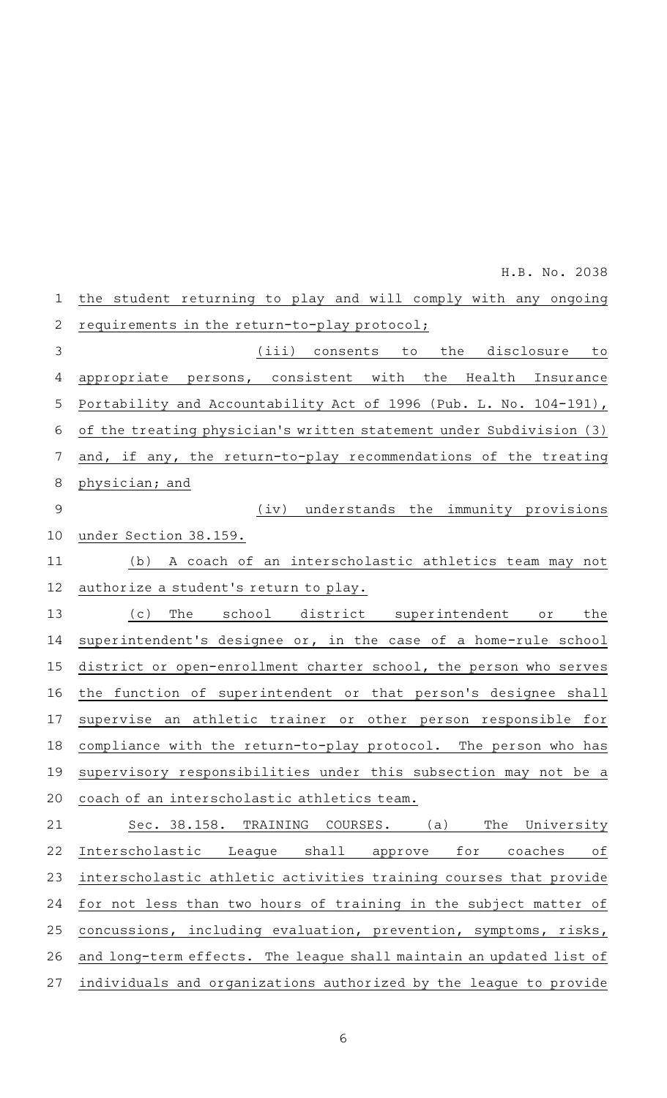| 1            | the student returning to play and will comply with any ongoing        |
|--------------|-----------------------------------------------------------------------|
| $\mathbf{2}$ | requirements in the return-to-play protocol;                          |
| 3            | (iii) consents to the disclosure to                                   |
| 4            | appropriate persons, consistent with the Health Insurance             |
| 5            | Portability and Accountability Act of 1996 (Pub. L. No. 104-191),     |
| 6            | of the treating physician's written statement under Subdivision (3)   |
| 7            | and, if any, the return-to-play recommendations of the treating       |
| 8            | physician; and                                                        |
| 9            | understands the immunity provisions<br>(iv)                           |
| 10           | under Section 38.159.                                                 |
| 11           | A coach of an interscholastic athletics team may not<br>(b)           |
| 12           | authorize a student's return to play.                                 |
| 13           | The school district superintendent or<br>(c)<br>the                   |
| 14           | superintendent's designee or, in the case of a home-rule school       |
| 15           | district or open-enrollment charter school, the person who serves     |
| 16           | the function of superintendent or that person's designee shall        |
| 17           | supervise an athletic trainer or other person responsible for         |
| 18           | compliance with the return-to-play protocol. The person who has       |
| 19           | supervisory responsibilities under this subsection may not be a       |
| 20           | coach of an interscholastic athletics team.                           |
| 21           | The<br>University<br>Sec. 38.158.<br>TRAINING<br>COURSES. (a)         |
| 22           | Interscholastic<br>shall<br>for<br>coaches<br>оf<br>Leaque<br>approve |
| 23           | interscholastic athletic activities training courses that provide     |
| 24           | for not less than two hours of training in the subject matter of      |
| 25           | concussions, including evaluation, prevention, symptoms, risks,       |
| 26           | and long-term effects. The league shall maintain an updated list of   |
| 27           | individuals and organizations authorized by the league to provide     |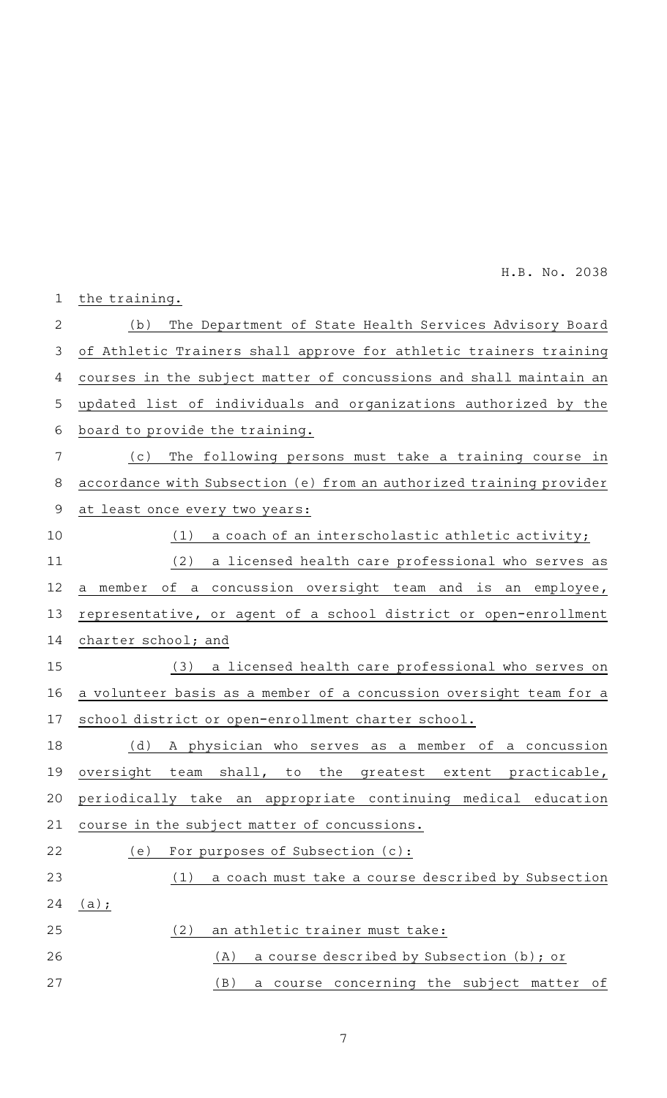| $\mathbf 1$    | the training.                                                       |
|----------------|---------------------------------------------------------------------|
| $\overline{2}$ | The Department of State Health Services Advisory Board<br>(b)       |
| 3              | of Athletic Trainers shall approve for athletic trainers training   |
| 4              | courses in the subject matter of concussions and shall maintain an  |
| 5              | updated list of individuals and organizations authorized by the     |
| 6              | board to provide the training.                                      |
| 7              | The following persons must take a training course in<br>( C )       |
| 8              | accordance with Subsection (e) from an authorized training provider |
| $\mathsf 9$    | at least once every two years:                                      |
| 10             | (1)<br>a coach of an interscholastic athletic activity;             |
| 11             | (2)<br>a licensed health care professional who serves as            |
| 12             | of a concussion oversight team and is an employee,<br>a member      |
| 13             | representative, or agent of a school district or open-enrollment    |
| 14             | charter school; and                                                 |
| 15             | a licensed health care professional who serves on<br>(3)            |
| 16             | a volunteer basis as a member of a concussion oversight team for a  |
| 17             | school district or open-enrollment charter school.                  |
| 18             | (d)<br>A physician who serves as a member of a concussion           |
| 19             | oversight team shall, to the greatest extent practicable,           |
| 20             | periodically take an appropriate continuing medical education       |
| 21             | course in the subject matter of concussions.                        |
| 22             | For purposes of Subsection (c):<br>(e)                              |
| 23             | a coach must take a course described by Subsection<br>(1)           |
| 24             | $(a)$ ;                                                             |
| 25             | (2)<br>an athletic trainer must take:                               |
| 26             | a course described by Subsection (b); or<br>(A)                     |
| 27             | a course concerning the subject matter of<br>(B)                    |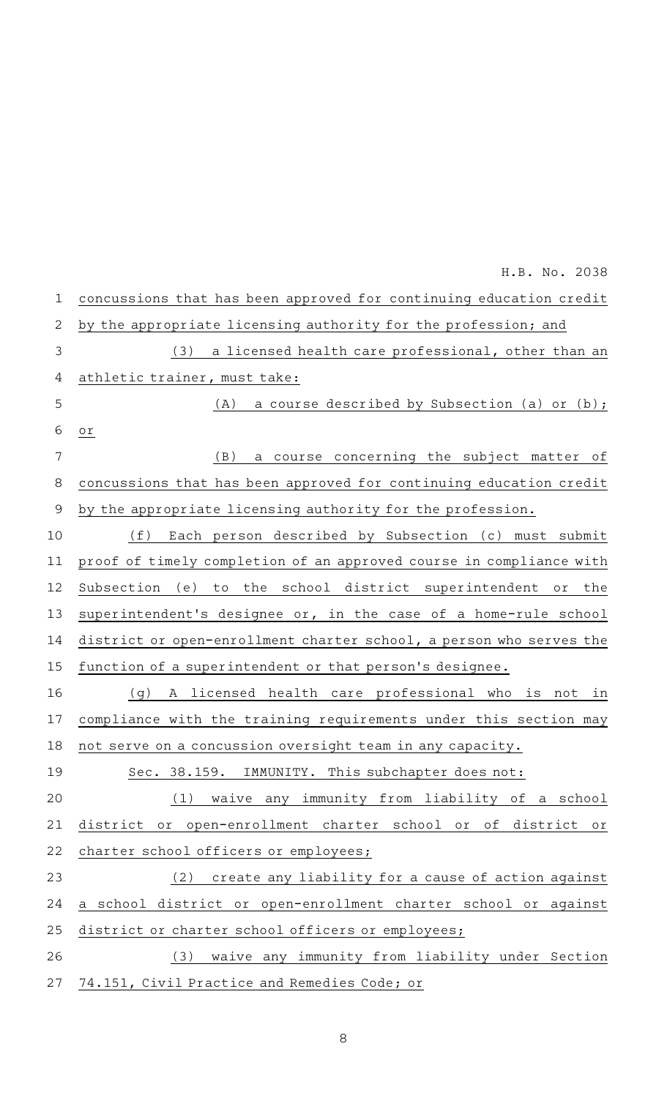concussions that has been approved for continuing education credit by the appropriate licensing authority for the profession; and (3) a licensed health care professional, other than an athletic trainer, must take: (A) a course described by Subsection (a) or (b); or (B) a course concerning the subject matter of concussions that has been approved for continuing education credit by the appropriate licensing authority for the profession. (f) Each person described by Subsection (c) must submit proof of timely completion of an approved course in compliance with Subsection (e) to the school district superintendent or the superintendent's designee or, in the case of a home-rule school district or open-enrollment charter school, a person who serves the function of a superintendent or that person's designee. (g) A licensed health care professional who is not in compliance with the training requirements under this section may not serve on a concussion oversight team in any capacity. Sec. 38.159. IMMUNITY. This subchapter does not: (1) waive any immunity from liability of a school district or open-enrollment charter school or of district or charter school officers or employees; (2) create any liability for a cause of action against a school district or open-enrollment charter school or against district or charter school officers or employees; (3) waive any immunity from liability under Section 74.151, Civil Practice and Remedies Code; or 1 2 3 4 5 6 7 8 9 10 11 12 13 14 15 16 17 18 19 20 21 22 23 24 25 26 27 H.B. No. 2038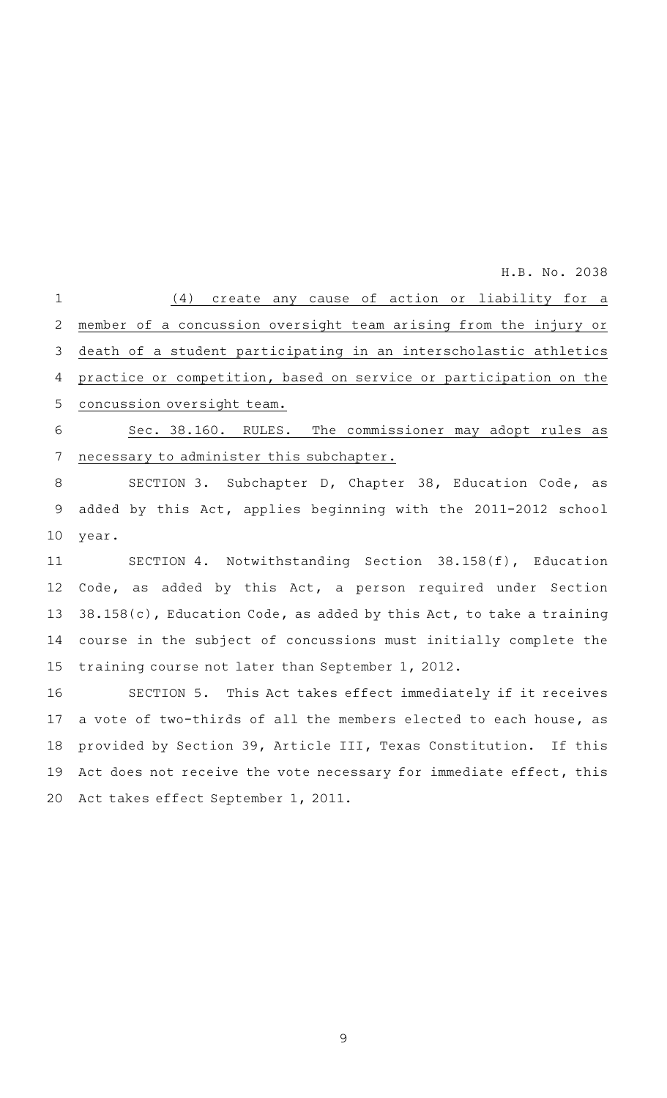(4) create any cause of action or liability for a member of a concussion oversight team arising from the injury or death of a student participating in an interscholastic athletics practice or competition, based on service or participation on the concussion oversight team. 1 2 3 4 5

Sec. 38.160. RULES. The commissioner may adopt rules as necessary to administer this subchapter. 6 7

SECTION 3. Subchapter D, Chapter 38, Education Code, as added by this Act, applies beginning with the 2011-2012 school year. 8 9 10

SECTION 4. Notwithstanding Section 38.158(f), Education Code, as added by this Act, a person required under Section 38.158(c), Education Code, as added by this Act, to take a training course in the subject of concussions must initially complete the training course not later than September 1, 2012. 11 12 13 14 15

SECTION 5. This Act takes effect immediately if it receives a vote of two-thirds of all the members elected to each house, as provided by Section 39, Article III, Texas Constitution. If this Act does not receive the vote necessary for immediate effect, this Act takes effect September 1, 2011. 16 17 18 19 20